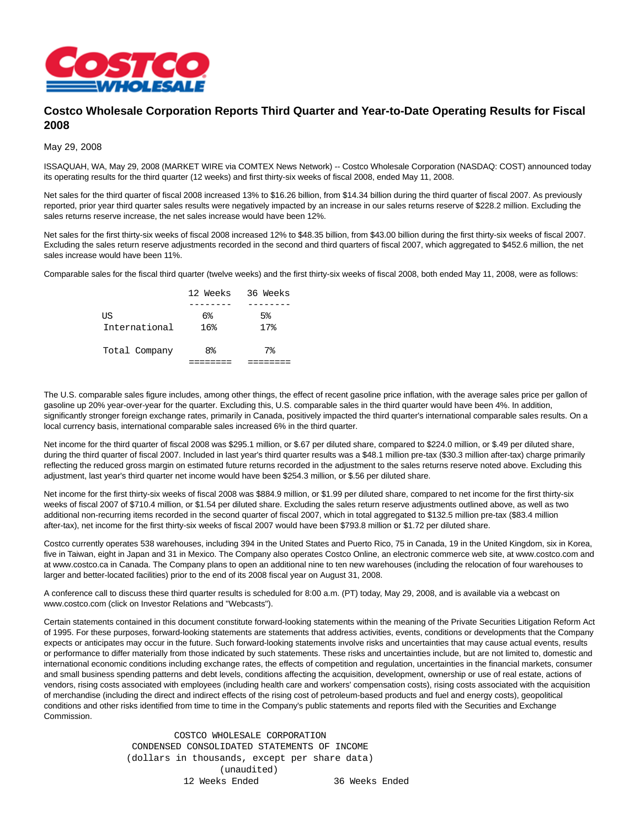

## **Costco Wholesale Corporation Reports Third Quarter and Year-to-Date Operating Results for Fiscal 2008**

May 29, 2008

ISSAQUAH, WA, May 29, 2008 (MARKET WIRE via COMTEX News Network) -- Costco Wholesale Corporation (NASDAQ: COST) announced today its operating results for the third quarter (12 weeks) and first thirty-six weeks of fiscal 2008, ended May 11, 2008.

Net sales for the third quarter of fiscal 2008 increased 13% to \$16.26 billion, from \$14.34 billion during the third quarter of fiscal 2007. As previously reported, prior year third quarter sales results were negatively impacted by an increase in our sales returns reserve of \$228.2 million. Excluding the sales returns reserve increase, the net sales increase would have been 12%.

Net sales for the first thirty-six weeks of fiscal 2008 increased 12% to \$48.35 billion, from \$43.00 billion during the first thirty-six weeks of fiscal 2007. Excluding the sales return reserve adjustments recorded in the second and third quarters of fiscal 2007, which aggregated to \$452.6 million, the net sales increase would have been 11%.

Comparable sales for the fiscal third quarter (twelve weeks) and the first thirty-six weeks of fiscal 2008, both ended May 11, 2008, were as follows:

|               | 12 Weeks 36 Weeks |                 |
|---------------|-------------------|-----------------|
|               |                   |                 |
| ΠS            | 6%                | $5\%$           |
| International | 16%               | 17 <sub>8</sub> |
| Total Company | 8%                | 7%              |
|               |                   |                 |

The U.S. comparable sales figure includes, among other things, the effect of recent gasoline price inflation, with the average sales price per gallon of gasoline up 20% year-over-year for the quarter. Excluding this, U.S. comparable sales in the third quarter would have been 4%. In addition, significantly stronger foreign exchange rates, primarily in Canada, positively impacted the third quarter's international comparable sales results. On a local currency basis, international comparable sales increased 6% in the third quarter.

Net income for the third quarter of fiscal 2008 was \$295.1 million, or \$.67 per diluted share, compared to \$224.0 million, or \$.49 per diluted share, during the third quarter of fiscal 2007. Included in last year's third quarter results was a \$48.1 million pre-tax (\$30.3 million after-tax) charge primarily reflecting the reduced gross margin on estimated future returns recorded in the adjustment to the sales returns reserve noted above. Excluding this adjustment, last year's third quarter net income would have been \$254.3 million, or \$.56 per diluted share.

Net income for the first thirty-six weeks of fiscal 2008 was \$884.9 million, or \$1.99 per diluted share, compared to net income for the first thirty-six weeks of fiscal 2007 of \$710.4 million, or \$1.54 per diluted share. Excluding the sales return reserve adjustments outlined above, as well as two additional non-recurring items recorded in the second quarter of fiscal 2007, which in total aggregated to \$132.5 million pre-tax (\$83.4 million after-tax), net income for the first thirty-six weeks of fiscal 2007 would have been \$793.8 million or \$1.72 per diluted share.

Costco currently operates 538 warehouses, including 394 in the United States and Puerto Rico, 75 in Canada, 19 in the United Kingdom, six in Korea, five in Taiwan, eight in Japan and 31 in Mexico. The Company also operates Costco Online, an electronic commerce web site, at www.costco.com and at www.costco.ca in Canada. The Company plans to open an additional nine to ten new warehouses (including the relocation of four warehouses to larger and better-located facilities) prior to the end of its 2008 fiscal year on August 31, 2008.

A conference call to discuss these third quarter results is scheduled for 8:00 a.m. (PT) today, May 29, 2008, and is available via a webcast on www.costco.com (click on Investor Relations and "Webcasts").

Certain statements contained in this document constitute forward-looking statements within the meaning of the Private Securities Litigation Reform Act of 1995. For these purposes, forward-looking statements are statements that address activities, events, conditions or developments that the Company expects or anticipates may occur in the future. Such forward-looking statements involve risks and uncertainties that may cause actual events, results or performance to differ materially from those indicated by such statements. These risks and uncertainties include, but are not limited to, domestic and international economic conditions including exchange rates, the effects of competition and regulation, uncertainties in the financial markets, consumer and small business spending patterns and debt levels, conditions affecting the acquisition, development, ownership or use of real estate, actions of vendors, rising costs associated with employees (including health care and workers' compensation costs), rising costs associated with the acquisition of merchandise (including the direct and indirect effects of the rising cost of petroleum-based products and fuel and energy costs), geopolitical conditions and other risks identified from time to time in the Company's public statements and reports filed with the Securities and Exchange Commission.

> COSTCO WHOLESALE CORPORATION CONDENSED CONSOLIDATED STATEMENTS OF INCOME (dollars in thousands, except per share data) (unaudited) 12 Weeks Ended 36 Weeks Ended